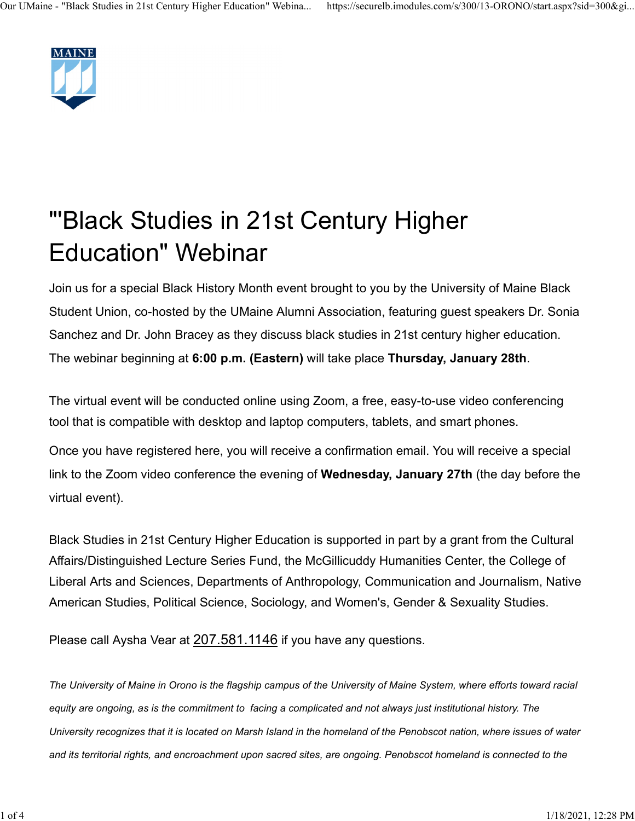

## "'Black Studies in 21st Century Higher Education" Webinar

Join us for a special Black History Month event brought to you by the University of Maine Black Student Union, co-hosted by the UMaine Alumni Association, featuring guest speakers Dr. Sonia Sanchez and Dr. John Bracey as they discuss black studies in 21st century higher education. The webinar beginning at 6:00 p.m. (Eastern) will take place Thursday, January 28th.

The virtual event will be conducted online using Zoom, a free, easy-to-use video conferencing tool that is compatible with desktop and laptop computers, tablets, and smart phones.

Once you have registered here, you will receive a confirmation email. You will receive a special link to the Zoom video conference the evening of Wednesday, January 27th (the day before the virtual event).

Black Studies in 21st Century Higher Education is supported in part by a grant from the Cultural Affairs/Distinguished Lecture Series Fund, the McGillicuddy Humanities Center, the College of Liberal Arts and Sciences, Departments of Anthropology, Communication and Journalism, Native American Studies, Political Science, Sociology, and Women's, Gender & Sexuality Studies.

Please call Aysha Vear at 207.581.1146 if you have any questions.

The University of Maine in Orono is the flagship campus of the University of Maine System, where efforts toward racial equity are ongoing, as is the commitment to facing a complicated and not always just institutional history. The University recognizes that it is located on Marsh Island in the homeland of the Penobscot nation, where issues of water and its territorial rights, and encroachment upon sacred sites, are ongoing. Penobscot homeland is connected to the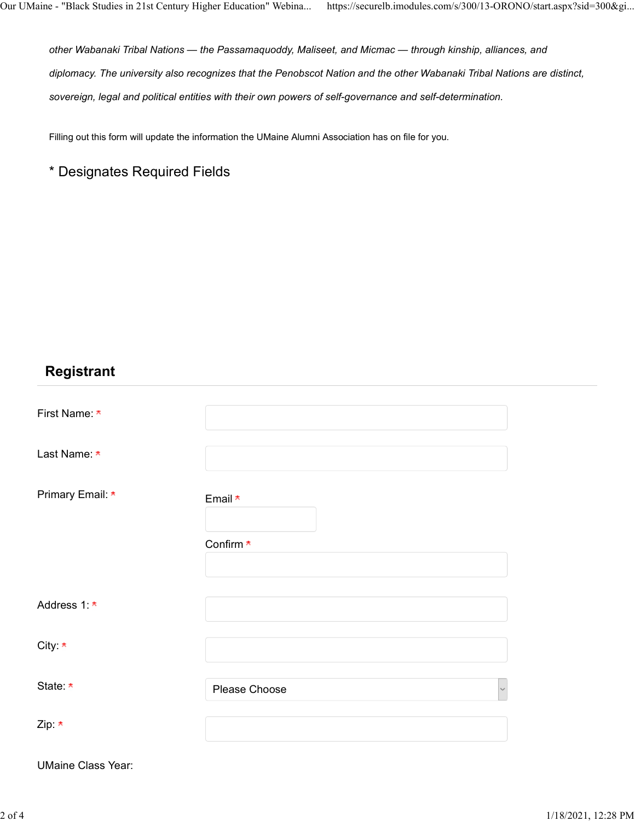other Wabanaki Tribal Nations — the Passamaquoddy, Maliseet, and Micmac — through kinship, alliances, and diplomacy. The university also recognizes that the Penobscot Nation and the other Wabanaki Tribal Nations are distinct, sovereign, legal and political entities with their own powers of self-governance and self-determination. e - "Black Studies in 21st Century Higher Education" Webina... https://securelb.it<br>
other Wabanaki Tribal Nations — the Passamaquoddy, Maliseet, and Micmac<br>
diplomacy. The university also recognizes that the Penobscot Nati Our UMaine - "Black Studies in 21st Century Higher Education" Webina... https://securelb.imodules.com/s/300/13-ORONO/start.aspx?sid=300&gi...<br>other Wabanaki Tribal Nations — the Passamaquoddy, Maliseet, and Micmac — throug

Filling out this form will update the information the UMaine Alumni Association has on file for you.

## **Registrant**

| First Name: *    |               |
|------------------|---------------|
| Last Name: *     |               |
| Primary Email: * | Email *       |
|                  | Confirm *     |
| Address 1: *     |               |
| City: *          |               |
| State *          | Please Choose |
| Zip: $\star$     |               |

UMaine Class Year: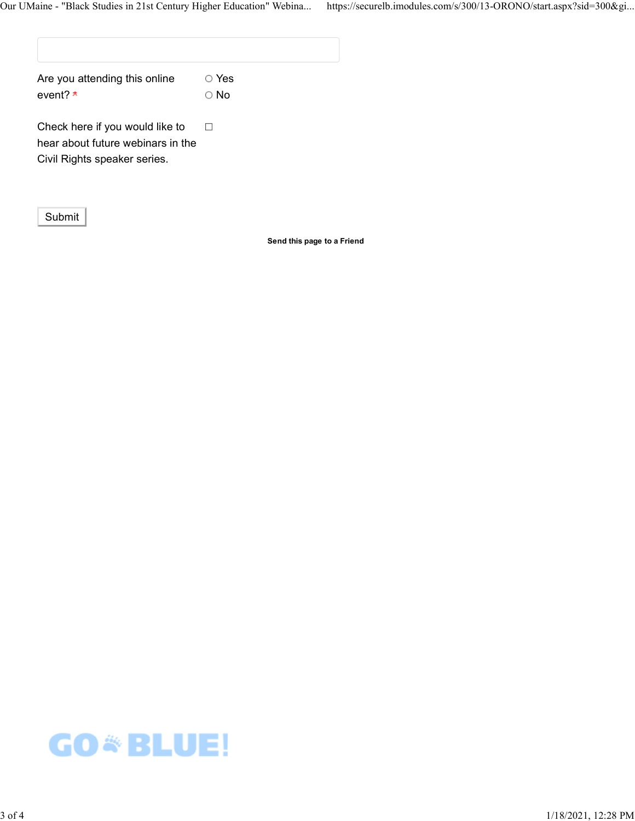| Are you attending this online | ○ Yes      |
|-------------------------------|------------|
| event? *                      | $\circ$ No |

Check here if you would like to  $\square$ hear about future webinars in the Civil Rights speaker series.

Submit

Send this page to a Friend